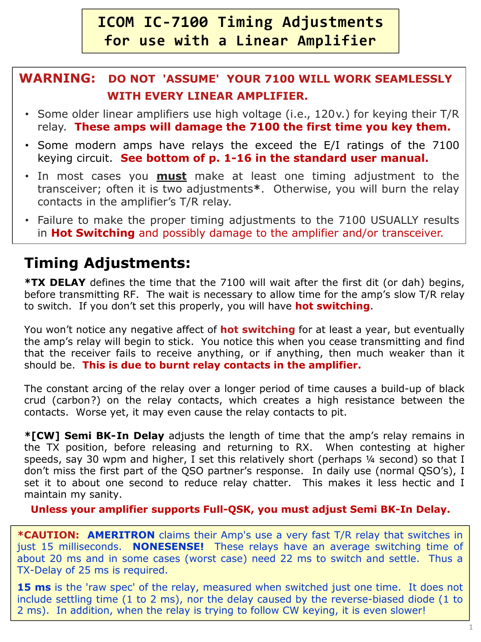# **ICOM IC-7100 Timing Adjustments for use with a Linear Amplifier**

# **WARNING: DO NOT 'ASSUME' YOUR 7100 WILL WORK SEAMLESSLY WITH EVERY LINEAR AMPLIFIER.**

- Some older linear amplifiers use high voltage (i.e., 120v.) for keying their T/R relay. **These amps will damage the 7100 the first time you key them.**
- Some modern amps have relays the exceed the E/I ratings of the 7100 keying circuit. **See bottom of p. 1-16 in the standard user manual.**
- In most cases you **must** make at least one timing adjustment to the transceiver; often it is two adjustments**\***. Otherwise, you will burn the relay contacts in the amplifier's T/R relay.
- Failure to make the proper timing adjustments to the 7100 USUALLY results in **Hot Switching** and possibly damage to the amplifier and/or transceiver.

# **Timing Adjustments:**

**\*TX DELAY** defines the time that the 7100 will wait after the first dit (or dah) begins, before transmitting RF. The wait is necessary to allow time for the amp's slow T/R relay to switch. If you don't set this properly, you will have **hot switching**.

You won't notice any negative affect of **hot switching** for at least a year, but eventually the amp's relay will begin to stick. You notice this when you cease transmitting and find that the receiver fails to receive anything, or if anything, then much weaker than it should be. **This is due to burnt relay contacts in the amplifier.**

The constant arcing of the relay over a longer period of time causes a build-up of black crud (carbon?) on the relay contacts, which creates a high resistance between the contacts. Worse yet, it may even cause the relay contacts to pit.

**\*[CW] Semi BK-In Delay** adjusts the length of time that the amp's relay remains in the TX position, before releasing and returning to RX. When contesting at higher speeds, say 30 wpm and higher, I set this relatively short (perhaps ¼ second) so that I don't miss the first part of the QSO partner's response. In daily use (normal QSO's), I set it to about one second to reduce relay chatter. This makes it less hectic and I maintain my sanity.

**Unless your amplifier supports Full-QSK, you must adjust Semi BK-In Delay.**

**\*CAUTION: AMERITRON** claims their Amp's use a very fast T/R relay that switches in just 15 milliseconds. **NONESENSE!** These relays have an average switching time of about 20 ms and in some cases (worst case) need 22 ms to switch and settle. Thus a TX-Delay of 25 ms is required.

**15 ms** is the 'raw spec' of the relay, measured when switched just one time. It does not include settling time (1 to 2 ms), nor the delay caused by the reverse-biased diode (1 to 2 ms). In addition, when the relay is trying to follow CW keying, it is even slower!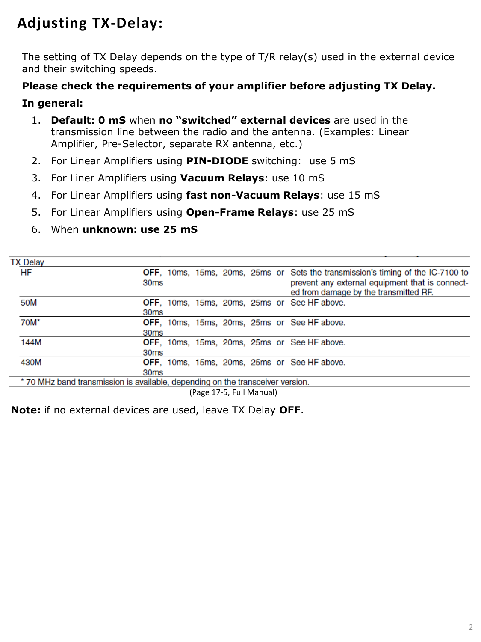# **Adjusting TX-Delay:**

The setting of TX Delay depends on the type of T/R relay(s) used in the external device and their switching speeds.

### **Please check the requirements of your amplifier before adjusting TX Delay.**

#### **In general:**

- 1. **Default: 0 mS** when **no "switched" external devices** are used in the .transmission line between the radio and the antenna. (Examples: Linear .Amplifier, Pre-Selector, separate RX antenna, etc.)
- 2. For Linear Amplifiers using **PIN-DIODE** switching: use 5 mS
- 3. For Liner Amplifiers using **Vacuum Relays**: use 10 mS
- 4. For Linear Amplifiers using **fast non-Vacuum Relays**: use 15 mS
- 5. For Linear Amplifiers using **Open-Frame Relays**: use 25 mS
- 6. When **unknown: use 25 mS**

| <b>TX Delay</b> |                                                                                                                                                                                                         |
|-----------------|---------------------------------------------------------------------------------------------------------------------------------------------------------------------------------------------------------|
| HF              | <b>OFF</b> , 10ms, 15ms, 20ms, 25ms or Sets the transmission's timing of the IC-7100 to<br>prevent any external equipment that is connect-<br>30 <sub>ms</sub><br>ed from damage by the transmitted RF. |
|                 |                                                                                                                                                                                                         |
| 50M             | <b>OFF, 10ms, 15ms, 20ms, 25ms or See HF above.</b><br>30 <sub>ms</sub>                                                                                                                                 |
| 70M*            | OFF, 10ms, 15ms, 20ms, 25ms or See HF above.                                                                                                                                                            |
|                 | 30 <sub>ms</sub>                                                                                                                                                                                        |
| 144M            | <b>OFF, 10ms, 15ms, 20ms, 25ms or See HF above.</b>                                                                                                                                                     |
|                 | 30 <sub>ms</sub>                                                                                                                                                                                        |
| 430M            | <b>OFF, 10ms, 15ms, 20ms, 25ms or See HF above.</b>                                                                                                                                                     |
|                 | 30 <sub>ms</sub>                                                                                                                                                                                        |
|                 | * 70 MHz band transmission is available, depending on the transceiver version.                                                                                                                          |

(Page 17-5, Full Manual)

**Note:** if no external devices are used, leave TX Delay **OFF**.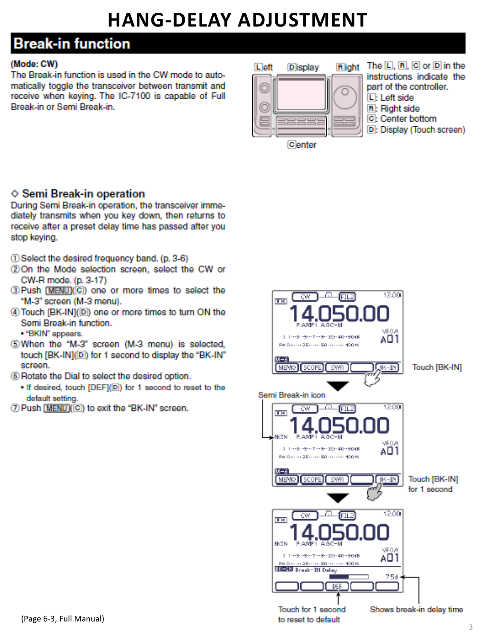# **HANG-DELAY ADJUSTMENT**

# **Break-in function**

#### (Mode: CW)

The Break-in function is used in the CW mode to automatically toggle the transceiver between transmit and receive when keying. The IC-7100 is capable of Full Break-in or Semi Break-in.



- The  $[D, [R], [C]$  or  $[D]$  in the instructions indicate the part of the controller. L: Left side
- R: Right side
- C: Center bottom
- D: Display (Touch screen)

Center

## $\diamond$  Semi Break-in operation

During Semi Break-in operation, the transceiver immediately transmits when you key down, then returns to receive after a preset delay time has passed after you stop keving.

- 10 Select the desired frequency band. (p. 3-6)
- 20 On the Mode selection screen, select the CW or CW-R mode. (p. 3-17)
- 3) Push [MENU](C) one or more times to select the "M-3" screen (M-3 menu).
- 4) Touch [BK-IN](D) one or more times to turn ON the Semi Break-in function.
- · "BKIN" appears.
- 5) When the "M-3" screen (M-3 menu) is selected, touch [BK-IN](D) for 1 second to display the "BK-IN" screen.
- (6) Rotate the Dial to select the desired option.
	- . If desired, touch [DEF](D) for 1 second to reset to the default setting.
- (7) Push [MENU](C) to exit the "BK-IN" screen.